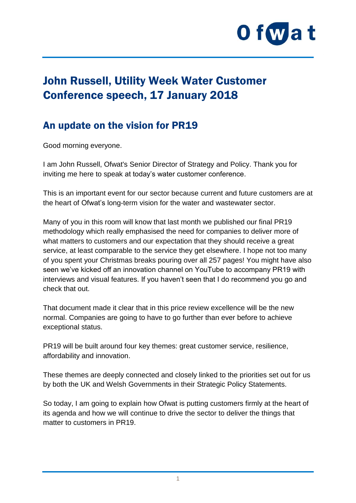

# John Russell, Utility Week Water Customer Conference speech, 17 January 2018

## An update on the vision for PR19

Good morning everyone.

I am John Russell, Ofwat's Senior Director of Strategy and Policy. Thank you for inviting me here to speak at today's water customer conference.

This is an important event for our sector because current and future customers are at the heart of Ofwat's long-term vision for the water and wastewater sector.

Many of you in this room will know that last month we published our final PR19 methodology which really emphasised the need for companies to deliver more of what matters to customers and our expectation that they should receive a great service, at least comparable to the service they get elsewhere. I hope not too many of you spent your Christmas breaks pouring over all 257 pages! You might have also seen we've kicked off an innovation channel on YouTube to accompany PR19 with interviews and visual features. If you haven't seen that I do recommend you go and check that out.

That document made it clear that in this price review excellence will be the new normal. Companies are going to have to go further than ever before to achieve exceptional status.

PR19 will be built around four key themes: great customer service, resilience, affordability and innovation.

These themes are deeply connected and closely linked to the priorities set out for us by both the UK and Welsh Governments in their Strategic Policy Statements.

So today, I am going to explain how Ofwat is putting customers firmly at the heart of its agenda and how we will continue to drive the sector to deliver the things that matter to customers in PR19.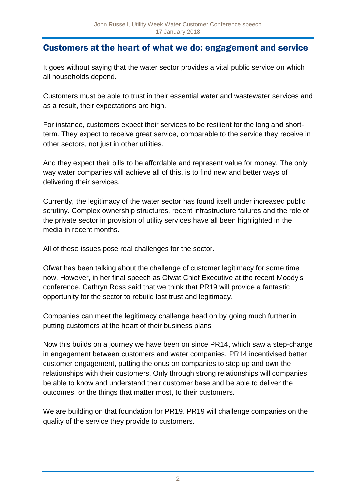#### Customers at the heart of what we do: engagement and service

It goes without saying that the water sector provides a vital public service on which all households depend.

Customers must be able to trust in their essential water and wastewater services and as a result, their expectations are high.

For instance, customers expect their services to be resilient for the long and shortterm. They expect to receive great service, comparable to the service they receive in other sectors, not just in other utilities.

And they expect their bills to be affordable and represent value for money. The only way water companies will achieve all of this, is to find new and better ways of delivering their services.

Currently, the legitimacy of the water sector has found itself under increased public scrutiny. Complex ownership structures, recent infrastructure failures and the role of the private sector in provision of utility services have all been highlighted in the media in recent months.

All of these issues pose real challenges for the sector.

Ofwat has been talking about the challenge of customer legitimacy for some time now. However, in her final speech as Ofwat Chief Executive at the recent Moody's conference, Cathryn Ross said that we think that PR19 will provide a fantastic opportunity for the sector to rebuild lost trust and legitimacy.

Companies can meet the legitimacy challenge head on by going much further in putting customers at the heart of their business plans

Now this builds on a journey we have been on since PR14, which saw a step-change in engagement between customers and water companies. PR14 incentivised better customer engagement, putting the onus on companies to step up and own the relationships with their customers. Only through strong relationships will companies be able to know and understand their customer base and be able to deliver the outcomes, or the things that matter most, to their customers.

We are building on that foundation for PR19. PR19 will challenge companies on the quality of the service they provide to customers.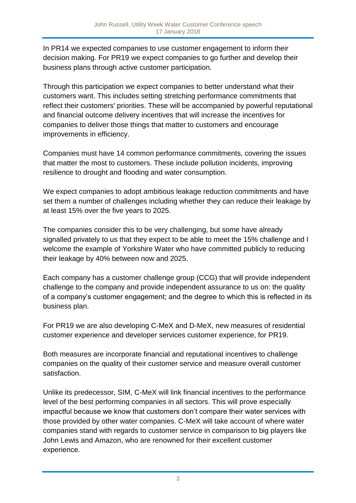In PR14 we expected companies to use customer engagement to inform their decision making. For PR19 we expect companies to go further and develop their business plans through active customer participation.

Through this participation we expect companies to better understand what their customers want. This includes setting stretching performance commitments that reflect their customers' priorities. These will be accompanied by powerful reputational and financial outcome delivery incentives that will increase the incentives for companies to deliver those things that matter to customers and encourage improvements in efficiency.

Companies must have 14 common performance commitments, covering the issues that matter the most to customers. These include pollution incidents, improving resilience to drought and flooding and water consumption.

We expect companies to adopt ambitious leakage reduction commitments and have set them a number of challenges including whether they can reduce their leakage by at least 15% over the five years to 2025.

The companies consider this to be very challenging, but some have already signalled privately to us that they expect to be able to meet the 15% challenge and I welcome the example of Yorkshire Water who have committed publicly to reducing their leakage by 40% between now and 2025.

Each company has a customer challenge group (CCG) that will provide independent challenge to the company and provide independent assurance to us on: the quality of a company's customer engagement; and the degree to which this is reflected in its business plan.

For PR19 we are also developing C-MeX and D-MeX, new measures of residential customer experience and developer services customer experience, for PR19.

Both measures are incorporate financial and reputational incentives to challenge companies on the quality of their customer service and measure overall customer satisfaction.

Unlike its predecessor, SIM, C-MeX will link financial incentives to the performance level of the best performing companies in all sectors. This will prove especially impactful because we know that customers don't compare their water services with those provided by other water companies. C-MeX will take account of where water companies stand with regards to customer service in comparison to big players like John Lewis and Amazon, who are renowned for their excellent customer experience.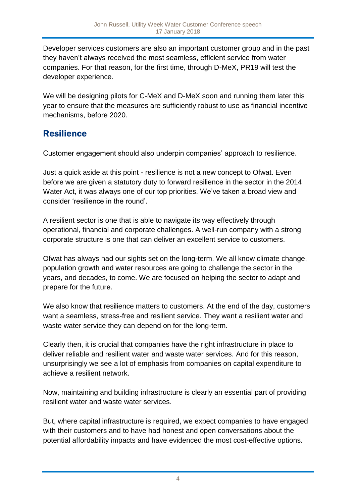Developer services customers are also an important customer group and in the past they haven't always received the most seamless, efficient service from water companies. For that reason, for the first time, through D-MeX, PR19 will test the developer experience.

We will be designing pilots for C-MeX and D-MeX soon and running them later this year to ensure that the measures are sufficiently robust to use as financial incentive mechanisms, before 2020.

## **Resilience**

Customer engagement should also underpin companies' approach to resilience.

Just a quick aside at this point - resilience is not a new concept to Ofwat. Even before we are given a statutory duty to forward resilience in the sector in the 2014 Water Act, it was always one of our top priorities. We've taken a broad view and consider 'resilience in the round'.

A resilient sector is one that is able to navigate its way effectively through operational, financial and corporate challenges. A well-run company with a strong corporate structure is one that can deliver an excellent service to customers.

Ofwat has always had our sights set on the long-term. We all know climate change, population growth and water resources are going to challenge the sector in the years, and decades, to come. We are focused on helping the sector to adapt and prepare for the future.

We also know that resilience matters to customers. At the end of the day, customers want a seamless, stress-free and resilient service. They want a resilient water and waste water service they can depend on for the long-term.

Clearly then, it is crucial that companies have the right infrastructure in place to deliver reliable and resilient water and waste water services. And for this reason, unsurprisingly we see a lot of emphasis from companies on capital expenditure to achieve a resilient network.

Now, maintaining and building infrastructure is clearly an essential part of providing resilient water and waste water services.

But, where capital infrastructure is required, we expect companies to have engaged with their customers and to have had honest and open conversations about the potential affordability impacts and have evidenced the most cost-effective options.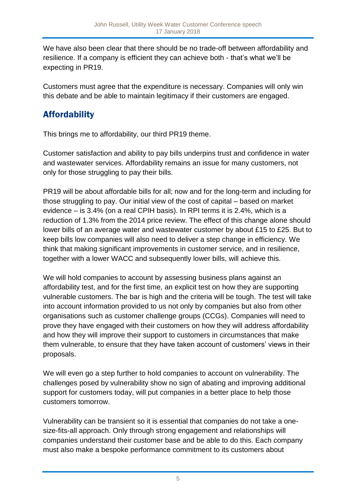We have also been clear that there should be no trade-off between affordability and resilience. If a company is efficient they can achieve both - that's what we'll be expecting in PR19.

Customers must agree that the expenditure is necessary. Companies will only win this debate and be able to maintain legitimacy if their customers are engaged.

## Affordability

This brings me to affordability, our third PR19 theme.

Customer satisfaction and ability to pay bills underpins trust and confidence in water and wastewater services. Affordability remains an issue for many customers, not only for those struggling to pay their bills.

PR19 will be about affordable bills for all; now and for the long-term and including for those struggling to pay. Our initial view of the cost of capital – based on market evidence – is 3.4% (on a real CPIH basis). In RPI terms it is 2.4%, which is a reduction of 1.3% from the 2014 price review. The effect of this change alone should lower bills of an average water and wastewater customer by about £15 to £25. But to keep bills low companies will also need to deliver a step change in efficiency. We think that making significant improvements in customer service, and in resilience, together with a lower WACC and subsequently lower bills, will achieve this.

We will hold companies to account by assessing business plans against an affordability test, and for the first time, an explicit test on how they are supporting vulnerable customers. The bar is high and the criteria will be tough. The test will take into account information provided to us not only by companies but also from other organisations such as customer challenge groups (CCGs). Companies will need to prove they have engaged with their customers on how they will address affordability and how they will improve their support to customers in circumstances that make them vulnerable, to ensure that they have taken account of customers' views in their proposals.

We will even go a step further to hold companies to account on vulnerability. The challenges posed by vulnerability show no sign of abating and improving additional support for customers today, will put companies in a better place to help those customers tomorrow.

Vulnerability can be transient so it is essential that companies do not take a onesize-fits-all approach. Only through strong engagement and relationships will companies understand their customer base and be able to do this. Each company must also make a bespoke performance commitment to its customers about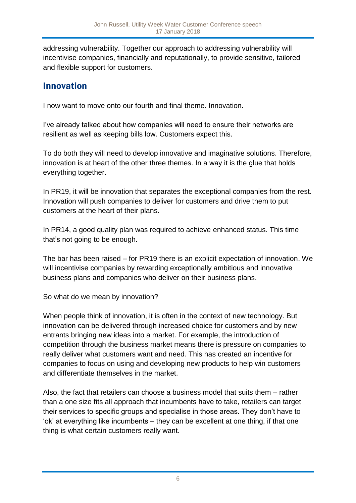addressing vulnerability. Together our approach to addressing vulnerability will incentivise companies, financially and reputationally, to provide sensitive, tailored and flexible support for customers.

#### Innovation

I now want to move onto our fourth and final theme. Innovation.

I've already talked about how companies will need to ensure their networks are resilient as well as keeping bills low. Customers expect this.

To do both they will need to develop innovative and imaginative solutions. Therefore, innovation is at heart of the other three themes. In a way it is the glue that holds everything together.

In PR19, it will be innovation that separates the exceptional companies from the rest. Innovation will push companies to deliver for customers and drive them to put customers at the heart of their plans.

In PR14, a good quality plan was required to achieve enhanced status. This time that's not going to be enough.

The bar has been raised – for PR19 there is an explicit expectation of innovation. We will incentivise companies by rewarding exceptionally ambitious and innovative business plans and companies who deliver on their business plans.

So what do we mean by innovation?

When people think of innovation, it is often in the context of new technology. But innovation can be delivered through increased choice for customers and by new entrants bringing new ideas into a market. For example, the introduction of competition through the business market means there is pressure on companies to really deliver what customers want and need. This has created an incentive for companies to focus on using and developing new products to help win customers and differentiate themselves in the market.

Also, the fact that retailers can choose a business model that suits them – rather than a one size fits all approach that incumbents have to take, retailers can target their services to specific groups and specialise in those areas. They don't have to 'ok' at everything like incumbents – they can be excellent at one thing, if that one thing is what certain customers really want.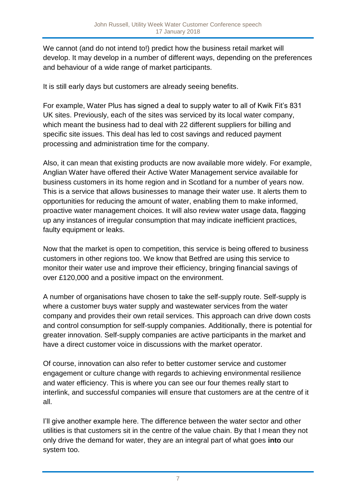We cannot (and do not intend to!) predict how the business retail market will develop. It may develop in a number of different ways, depending on the preferences and behaviour of a wide range of market participants.

It is still early days but customers are already seeing benefits.

For example, Water Plus has signed a deal to supply water to all of Kwik Fit's 831 UK sites. Previously, each of the sites was serviced by its local water company, which meant the business had to deal with 22 different suppliers for billing and specific site issues. This deal has led to cost savings and reduced payment processing and administration time for the company.

Also, it can mean that existing products are now available more widely. For example, Anglian Water have offered their Active Water Management service available for business customers in its home region and in Scotland for a number of years now. This is a service that allows businesses to manage their water use. It alerts them to opportunities for reducing the amount of water, enabling them to make informed, proactive water management choices. It will also review water usage data, flagging up any instances of irregular consumption that may indicate inefficient practices, faulty equipment or leaks.

Now that the market is open to competition, this service is being offered to business customers in other regions too. We know that Betfred are using this service to monitor their water use and improve their efficiency, bringing financial savings of over £120,000 and a positive impact on the environment.

A number of organisations have chosen to take the self-supply route. Self-supply is where a customer buys water supply and wastewater services from the water company and provides their own retail services. This approach can drive down costs and control consumption for self-supply companies. Additionally, there is potential for greater innovation. Self-supply companies are active participants in the market and have a direct customer voice in discussions with the market operator.

Of course, innovation can also refer to better customer service and customer engagement or culture change with regards to achieving environmental resilience and water efficiency. This is where you can see our four themes really start to interlink, and successful companies will ensure that customers are at the centre of it all.

I'll give another example here. The difference between the water sector and other utilities is that customers sit in the centre of the value chain. By that I mean they not only drive the demand for water, they are an integral part of what goes **into** our system too.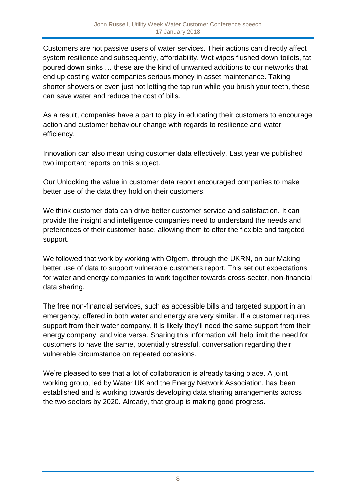Customers are not passive users of water services. Their actions can directly affect system resilience and subsequently, affordability. Wet wipes flushed down toilets, fat poured down sinks … these are the kind of unwanted additions to our networks that end up costing water companies serious money in asset maintenance. Taking shorter showers or even just not letting the tap run while you brush your teeth, these can save water and reduce the cost of bills.

As a result, companies have a part to play in educating their customers to encourage action and customer behaviour change with regards to resilience and water efficiency.

Innovation can also mean using customer data effectively. Last year we published two important reports on this subject.

Our Unlocking the value in customer data report encouraged companies to make better use of the data they hold on their customers.

We think customer data can drive better customer service and satisfaction. It can provide the insight and intelligence companies need to understand the needs and preferences of their customer base, allowing them to offer the flexible and targeted support.

We followed that work by working with Ofgem, through the UKRN, on our Making better use of data to support vulnerable customers report. This set out expectations for water and energy companies to work together towards cross-sector, non-financial data sharing.

The free non-financial services, such as accessible bills and targeted support in an emergency, offered in both water and energy are very similar. If a customer requires support from their water company, it is likely they'll need the same support from their energy company, and vice versa. Sharing this information will help limit the need for customers to have the same, potentially stressful, conversation regarding their vulnerable circumstance on repeated occasions.

We're pleased to see that a lot of collaboration is already taking place. A joint working group, led by Water UK and the Energy Network Association, has been established and is working towards developing data sharing arrangements across the two sectors by 2020. Already, that group is making good progress.